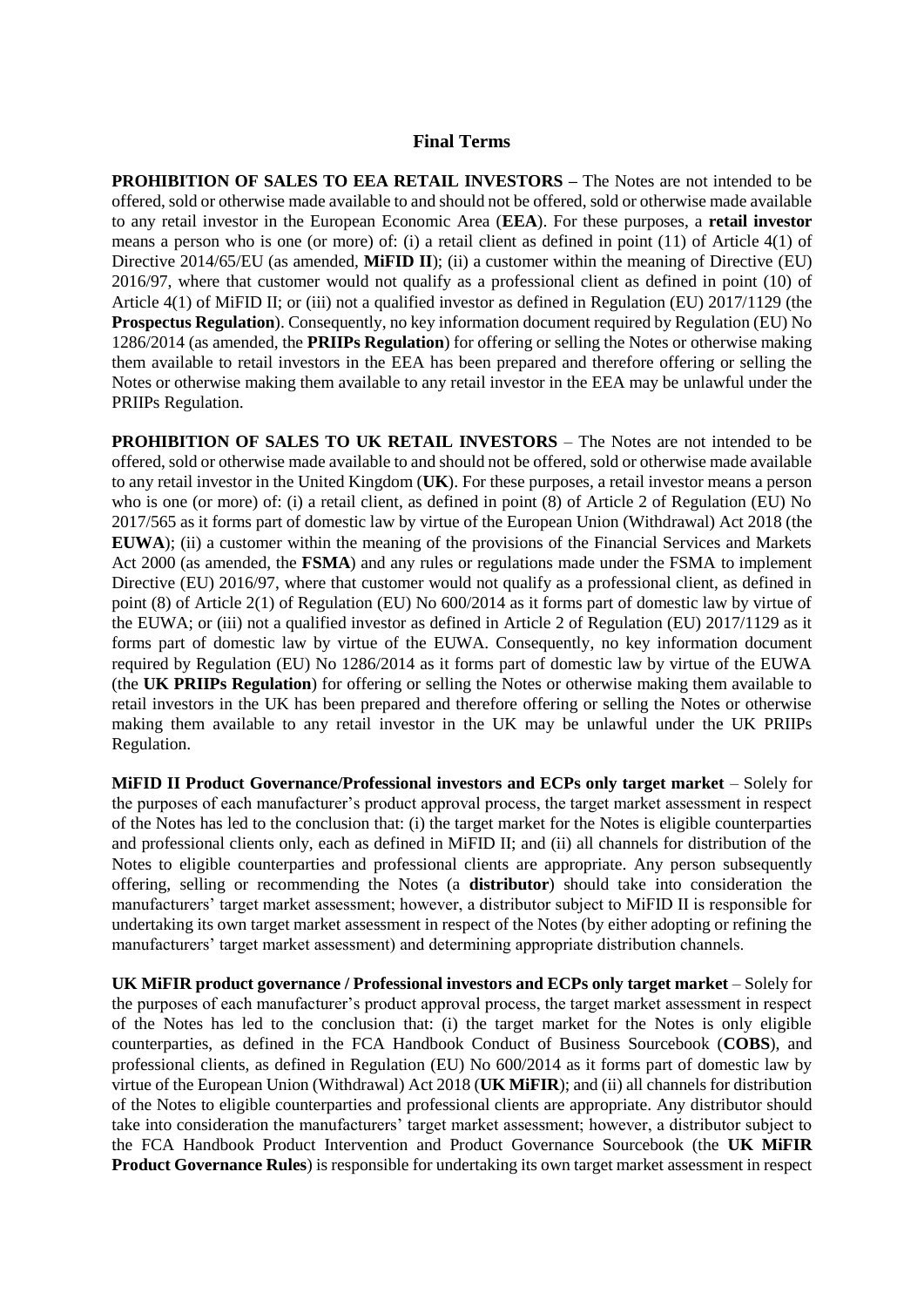## **Final Terms**

**PROHIBITION OF SALES TO EEA RETAIL INVESTORS –** The Notes are not intended to be offered, sold or otherwise made available to and should not be offered, sold or otherwise made available to any retail investor in the European Economic Area (**EEA**). For these purposes, a **retail investor**  means a person who is one (or more) of: (i) a retail client as defined in point (11) of Article 4(1) of Directive 2014/65/EU (as amended, **MiFID II**); (ii) a customer within the meaning of Directive (EU) 2016/97, where that customer would not qualify as a professional client as defined in point (10) of Article 4(1) of MiFID II; or (iii) not a qualified investor as defined in Regulation (EU) 2017/1129 (the **Prospectus Regulation**). Consequently, no key information document required by Regulation (EU) No 1286/2014 (as amended, the **PRIIPs Regulation**) for offering or selling the Notes or otherwise making them available to retail investors in the EEA has been prepared and therefore offering or selling the Notes or otherwise making them available to any retail investor in the EEA may be unlawful under the PRIIPs Regulation.

**PROHIBITION OF SALES TO UK RETAIL INVESTORS** – The Notes are not intended to be offered, sold or otherwise made available to and should not be offered, sold or otherwise made available to any retail investor in the United Kingdom (**UK**). For these purposes, a retail investor means a person who is one (or more) of: (i) a retail client, as defined in point (8) of Article 2 of Regulation (EU) No 2017/565 as it forms part of domestic law by virtue of the European Union (Withdrawal) Act 2018 (the **EUWA**); (ii) a customer within the meaning of the provisions of the Financial Services and Markets Act 2000 (as amended, the **FSMA**) and any rules or regulations made under the FSMA to implement Directive (EU) 2016/97, where that customer would not qualify as a professional client, as defined in point (8) of Article 2(1) of Regulation (EU) No 600/2014 as it forms part of domestic law by virtue of the EUWA; or (iii) not a qualified investor as defined in Article 2 of Regulation (EU) 2017/1129 as it forms part of domestic law by virtue of the EUWA. Consequently, no key information document required by Regulation (EU) No 1286/2014 as it forms part of domestic law by virtue of the EUWA (the **UK PRIIPs Regulation**) for offering or selling the Notes or otherwise making them available to retail investors in the UK has been prepared and therefore offering or selling the Notes or otherwise making them available to any retail investor in the UK may be unlawful under the UK PRIIPs Regulation.

**MiFID II Product Governance/Professional investors and ECPs only target market** – Solely for the purposes of each manufacturer's product approval process, the target market assessment in respect of the Notes has led to the conclusion that: (i) the target market for the Notes is eligible counterparties and professional clients only, each as defined in MiFID II; and (ii) all channels for distribution of the Notes to eligible counterparties and professional clients are appropriate. Any person subsequently offering, selling or recommending the Notes (a **distributor**) should take into consideration the manufacturers' target market assessment; however, a distributor subject to MiFID II is responsible for undertaking its own target market assessment in respect of the Notes (by either adopting or refining the manufacturers' target market assessment) and determining appropriate distribution channels.

**UK MiFIR product governance / Professional investors and ECPs only target market** – Solely for the purposes of each manufacturer's product approval process, the target market assessment in respect of the Notes has led to the conclusion that: (i) the target market for the Notes is only eligible counterparties, as defined in the FCA Handbook Conduct of Business Sourcebook (**COBS**), and professional clients, as defined in Regulation (EU) No 600/2014 as it forms part of domestic law by virtue of the European Union (Withdrawal) Act 2018 (**UK MiFIR**); and (ii) all channels for distribution of the Notes to eligible counterparties and professional clients are appropriate. Any distributor should take into consideration the manufacturers' target market assessment; however, a distributor subject to the FCA Handbook Product Intervention and Product Governance Sourcebook (the **UK MiFIR Product Governance Rules**) is responsible for undertaking its own target market assessment in respect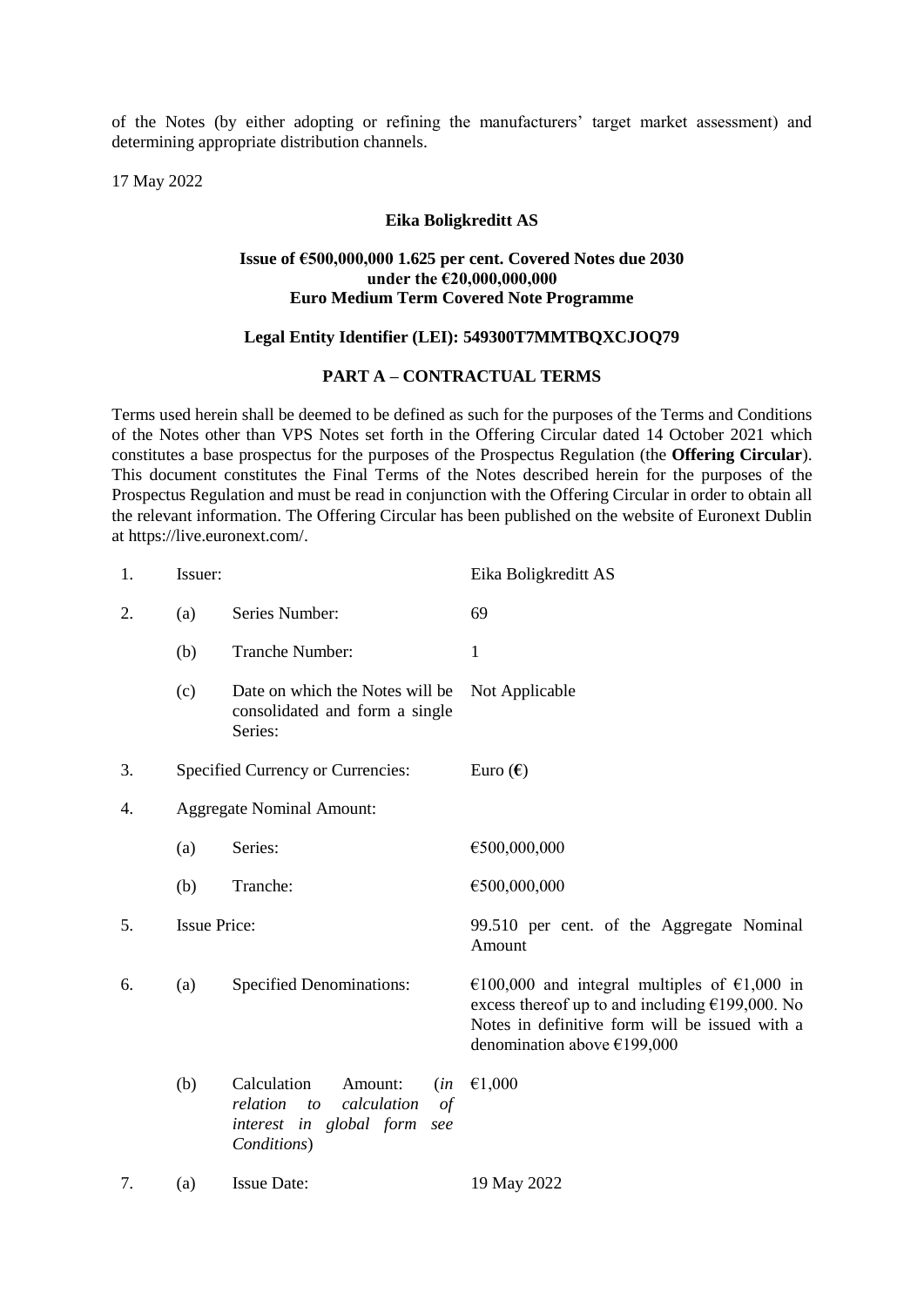of the Notes (by either adopting or refining the manufacturers' target market assessment) and determining appropriate distribution channels.

17 May 2022

#### **Eika Boligkreditt AS**

#### **Issue of €500,000,000 1.625 per cent. Covered Notes due 2030 under the €20,000,000,000 Euro Medium Term Covered Note Programme**

#### **Legal Entity Identifier (LEI): 549300T7MMTBQXCJOQ79**

#### **PART A – CONTRACTUAL TERMS**

Terms used herein shall be deemed to be defined as such for the purposes of the Terms and Conditions of the Notes other than VPS Notes set forth in the Offering Circular dated 14 October 2021 which constitutes a base prospectus for the purposes of the Prospectus Regulation (the **Offering Circular**). This document constitutes the Final Terms of the Notes described herein for the purposes of the Prospectus Regulation and must be read in conjunction with the Offering Circular in order to obtain all the relevant information. The Offering Circular has been published on the website of Euronext Dublin at https://live.euronext.com/.

| 1. | Issuer:             |                                                                                                                           | Eika Boligkreditt AS                                                                                                                                                                  |  |
|----|---------------------|---------------------------------------------------------------------------------------------------------------------------|---------------------------------------------------------------------------------------------------------------------------------------------------------------------------------------|--|
| 2. | (a)                 | Series Number:                                                                                                            | 69                                                                                                                                                                                    |  |
|    | (b)                 | Tranche Number:                                                                                                           | $\mathbf{1}$                                                                                                                                                                          |  |
|    | (c)                 | Date on which the Notes will be<br>consolidated and form a single<br>Series:                                              | Not Applicable                                                                                                                                                                        |  |
| 3. |                     | Specified Currency or Currencies:                                                                                         | Euro $(\epsilon)$                                                                                                                                                                     |  |
| 4. |                     | <b>Aggregate Nominal Amount:</b>                                                                                          |                                                                                                                                                                                       |  |
|    | (a)                 | Series:                                                                                                                   | €500,000,000                                                                                                                                                                          |  |
|    | (b)                 | Tranche:                                                                                                                  | €500,000,000                                                                                                                                                                          |  |
| 5. | <b>Issue Price:</b> |                                                                                                                           | 99.510 per cent. of the Aggregate Nominal<br>Amount                                                                                                                                   |  |
| 6. | (a)                 | <b>Specified Denominations:</b>                                                                                           | €100,000 and integral multiples of €1,000 in<br>excess thereof up to and including $£199,000$ . No<br>Notes in definitive form will be issued with a<br>denomination above $£199,000$ |  |
|    | (b)                 | Calculation<br>Amount:<br>(in<br>relation<br>calculation<br>to<br>$\circ f$<br>interest in global form see<br>Conditions) | €1,000                                                                                                                                                                                |  |
| 7. | (a)                 | <b>Issue Date:</b>                                                                                                        | 19 May 2022                                                                                                                                                                           |  |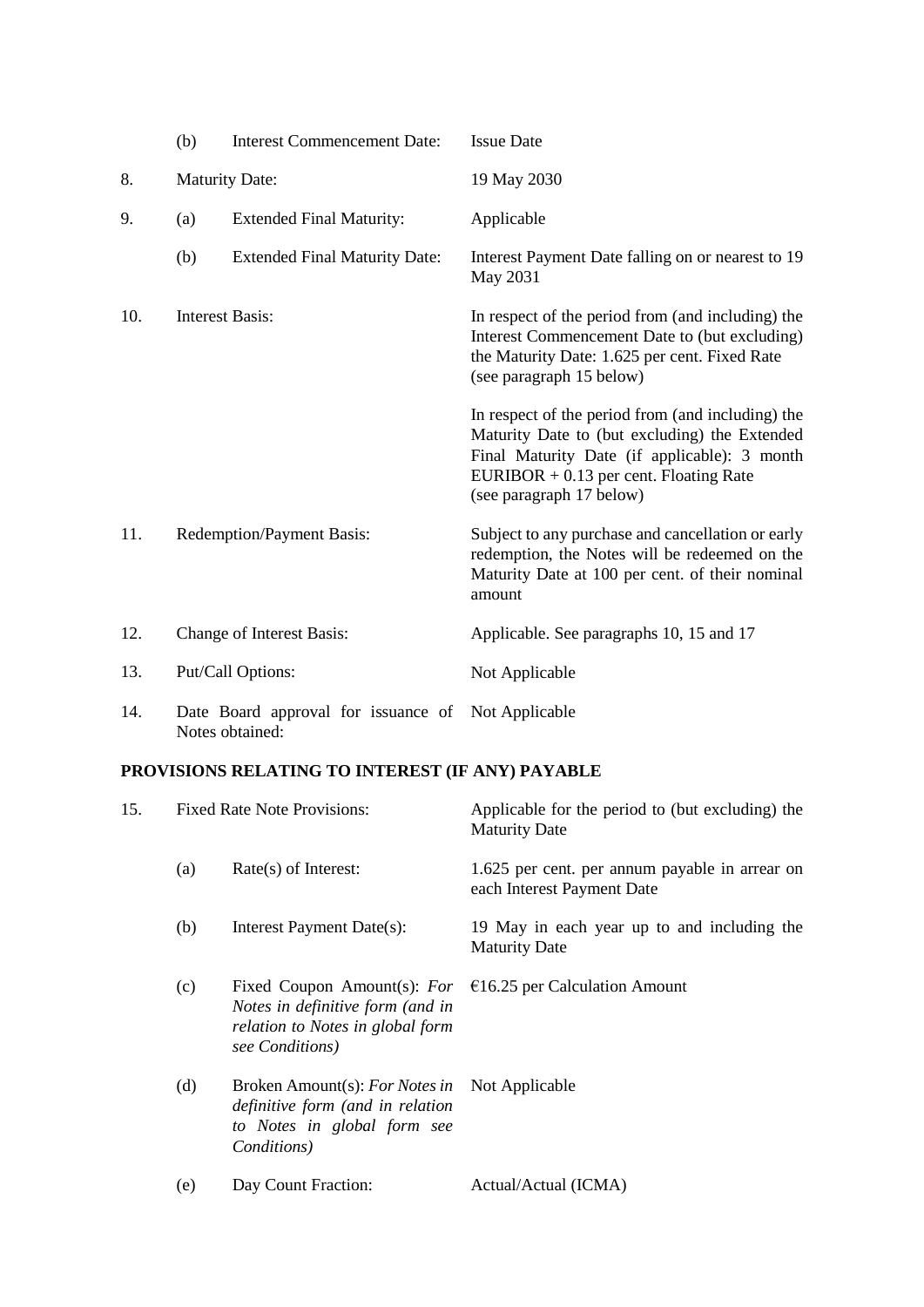|     | (b)                       | <b>Interest Commencement Date:</b>                     | <b>Issue Date</b>                                                                                                                                                                                                          |
|-----|---------------------------|--------------------------------------------------------|----------------------------------------------------------------------------------------------------------------------------------------------------------------------------------------------------------------------------|
| 8.  | <b>Maturity Date:</b>     |                                                        | 19 May 2030                                                                                                                                                                                                                |
| 9.  | (a)                       | <b>Extended Final Maturity:</b>                        | Applicable                                                                                                                                                                                                                 |
|     | (b)                       | <b>Extended Final Maturity Date:</b>                   | Interest Payment Date falling on or nearest to 19<br>May 2031                                                                                                                                                              |
| 10. | <b>Interest Basis:</b>    |                                                        | In respect of the period from (and including) the<br>Interest Commencement Date to (but excluding)<br>the Maturity Date: 1.625 per cent. Fixed Rate<br>(see paragraph 15 below)                                            |
|     |                           |                                                        | In respect of the period from (and including) the<br>Maturity Date to (but excluding) the Extended<br>Final Maturity Date (if applicable): 3 month<br>EURIBOR $+ 0.13$ per cent. Floating Rate<br>(see paragraph 17 below) |
| 11. | Redemption/Payment Basis: |                                                        | Subject to any purchase and cancellation or early<br>redemption, the Notes will be redeemed on the<br>Maturity Date at 100 per cent. of their nominal<br>amount                                                            |
| 12. |                           | Change of Interest Basis:                              | Applicable. See paragraphs 10, 15 and 17                                                                                                                                                                                   |
| 13. |                           | Put/Call Options:                                      | Not Applicable                                                                                                                                                                                                             |
| 14. |                           | Date Board approval for issuance of<br>Notes obtained: | Not Applicable                                                                                                                                                                                                             |

# **PROVISIONS RELATING TO INTEREST (IF ANY) PAYABLE**

<span id="page-2-0"></span>

| 15. | <b>Fixed Rate Note Provisions:</b> |                                                                                                                                                                    | Applicable for the period to (but excluding) the<br><b>Maturity Date</b>     |  |
|-----|------------------------------------|--------------------------------------------------------------------------------------------------------------------------------------------------------------------|------------------------------------------------------------------------------|--|
|     | (a)                                | $Rate(s)$ of Interest:                                                                                                                                             | 1.625 per cent. per annum payable in arrear on<br>each Interest Payment Date |  |
|     | (b)                                | Interest Payment Date(s):                                                                                                                                          | 19 May in each year up to and including the<br><b>Maturity Date</b>          |  |
|     | (c)                                | Fixed Coupon Amount(s): $For \text{ } \in 16.25$ per Calculation Amount<br>Notes in definitive form (and in<br>relation to Notes in global form<br>see Conditions) |                                                                              |  |
|     | (d)                                | Broken Amount(s): For Notes in Not Applicable<br>definitive form (and in relation<br>to Notes in global form see<br>Conditions)                                    |                                                                              |  |
|     | (e)                                | Day Count Fraction:                                                                                                                                                | Actual/Actual (ICMA)                                                         |  |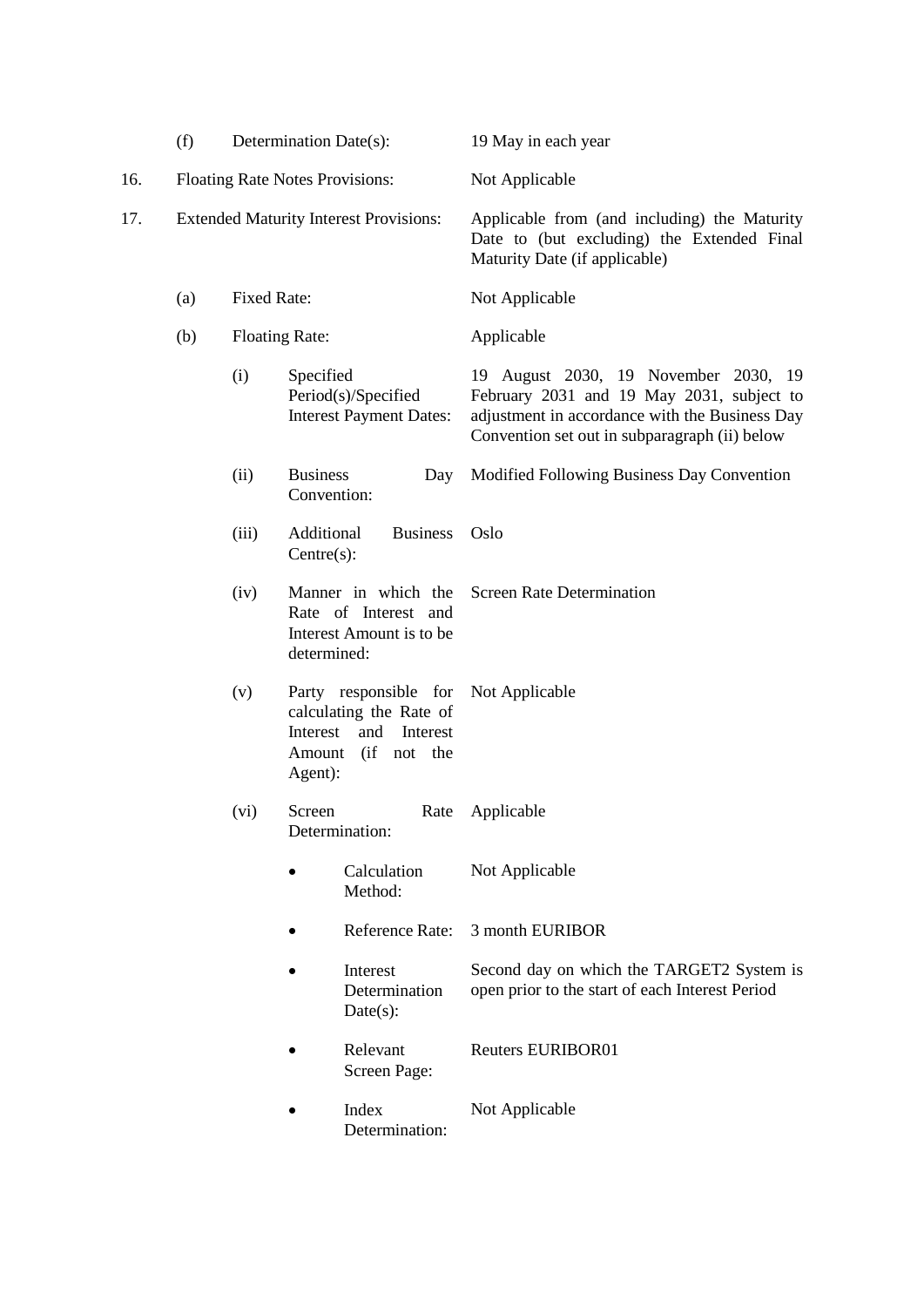<span id="page-3-1"></span><span id="page-3-0"></span>

|                         | (f)                                                                                                                                                           | Determination Date(s):                                                                         |                                                                                                                          | 19 May in each year                                                                                                                                                                  |
|-------------------------|---------------------------------------------------------------------------------------------------------------------------------------------------------------|------------------------------------------------------------------------------------------------|--------------------------------------------------------------------------------------------------------------------------|--------------------------------------------------------------------------------------------------------------------------------------------------------------------------------------|
| 16.                     |                                                                                                                                                               | Floating Rate Notes Provisions:                                                                |                                                                                                                          | Not Applicable                                                                                                                                                                       |
| 17.                     | <b>Extended Maturity Interest Provisions:</b>                                                                                                                 |                                                                                                |                                                                                                                          | Applicable from (and including) the Maturity<br>Date to (but excluding) the Extended Final<br>Maturity Date (if applicable)                                                          |
|                         | (a)                                                                                                                                                           | <b>Fixed Rate:</b>                                                                             |                                                                                                                          | Not Applicable                                                                                                                                                                       |
|                         | (b)                                                                                                                                                           |                                                                                                | <b>Floating Rate:</b>                                                                                                    | Applicable                                                                                                                                                                           |
|                         |                                                                                                                                                               | (i)                                                                                            | Specified<br>Period(s)/Specified<br><b>Interest Payment Dates:</b>                                                       | 19 August 2030, 19 November 2030, 19<br>February 2031 and 19 May 2031, subject to<br>adjustment in accordance with the Business Day<br>Convention set out in subparagraph (ii) below |
|                         |                                                                                                                                                               | (ii)                                                                                           | <b>Business</b><br>Day<br>Convention:                                                                                    | Modified Following Business Day Convention                                                                                                                                           |
|                         | Additional<br><b>Business</b><br>(iii)<br>Centre(s):                                                                                                          |                                                                                                |                                                                                                                          | Oslo                                                                                                                                                                                 |
|                         |                                                                                                                                                               | (iv)<br>Manner in which the<br>Rate of Interest and<br>Interest Amount is to be<br>determined: |                                                                                                                          | <b>Screen Rate Determination</b>                                                                                                                                                     |
|                         |                                                                                                                                                               | (v)                                                                                            | Party responsible for<br>calculating the Rate of<br>Interest<br>and<br>Interest<br>(i f)<br>Amount<br>not the<br>Agent): | Not Applicable                                                                                                                                                                       |
|                         | Screen<br>(vi)<br>Rate<br>Determination:<br>Calculation<br>Method:<br>Reference Rate:<br>Interest<br>Determination<br>$Date(s)$ :<br>Relevant<br>Screen Page: |                                                                                                |                                                                                                                          | Applicable                                                                                                                                                                           |
|                         |                                                                                                                                                               |                                                                                                |                                                                                                                          | Not Applicable                                                                                                                                                                       |
|                         |                                                                                                                                                               |                                                                                                |                                                                                                                          | 3 month EURIBOR                                                                                                                                                                      |
|                         |                                                                                                                                                               |                                                                                                |                                                                                                                          | Second day on which the TARGET2 System is<br>open prior to the start of each Interest Period                                                                                         |
|                         |                                                                                                                                                               |                                                                                                |                                                                                                                          | <b>Reuters EURIBOR01</b>                                                                                                                                                             |
| Index<br>Determination: |                                                                                                                                                               |                                                                                                | Not Applicable                                                                                                           |                                                                                                                                                                                      |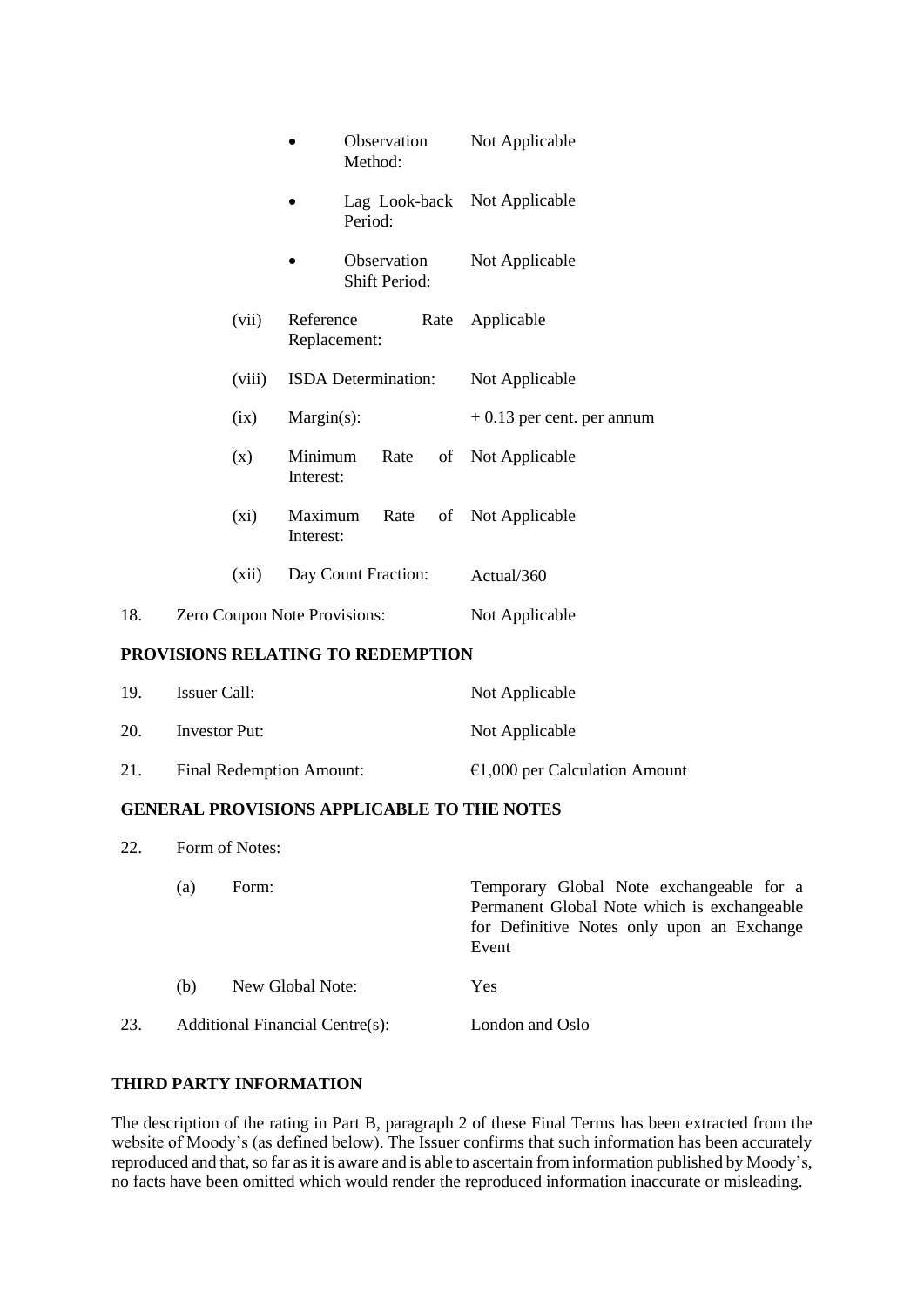|     |                              |                           | Observation<br>Method:       |      | Not Applicable               |
|-----|------------------------------|---------------------------|------------------------------|------|------------------------------|
|     |                              |                           | Period:                      |      | Lag Look-back Not Applicable |
|     |                              |                           | Observation<br>Shift Period: |      | Not Applicable               |
|     | (vii)                        | Reference<br>Replacement: |                              | Rate | Applicable                   |
|     | (viii)                       | ISDA Determination:       |                              |      | Not Applicable               |
|     | (ix)                         | $Margin(s)$ :             |                              |      | $+0.13$ per cent. per annum  |
|     | (x)                          | Minimum<br>Interest:      | Rate                         | of   | Not Applicable               |
|     | $(x_i)$                      | Maximum<br>Interest:      | Rate                         | of   | Not Applicable               |
|     | (xii)                        | Day Count Fraction:       |                              |      | Actual/360                   |
| 18. | Zero Coupon Note Provisions: |                           |                              |      | Not Applicable               |

## <span id="page-4-0"></span>**PROVISIONS RELATING TO REDEMPTION**

| 19. | Issuer Call:                    | Not Applicable                          |
|-----|---------------------------------|-----------------------------------------|
| 20. | Investor Put:                   | Not Applicable                          |
| 21. | <b>Final Redemption Amount:</b> | $\epsilon$ 1,000 per Calculation Amount |

# **GENERAL PROVISIONS APPLICABLE TO THE NOTES**

| 22. |              | Form of Notes:                  |                                                                                                                                                |  |  |  |
|-----|--------------|---------------------------------|------------------------------------------------------------------------------------------------------------------------------------------------|--|--|--|
|     | Form:<br>(a) |                                 | Temporary Global Note exchangeable for a<br>Permanent Global Note which is exchangeable<br>for Definitive Notes only upon an Exchange<br>Event |  |  |  |
|     | (b)          | New Global Note:                | Yes                                                                                                                                            |  |  |  |
| 23. |              | Additional Financial Centre(s): | London and Oslo                                                                                                                                |  |  |  |

## **THIRD PARTY INFORMATION**

The description of the rating in Part B, paragraph 2 of these Final Terms has been extracted from the website of Moody's (as defined below). The Issuer confirms that such information has been accurately reproduced and that, so far as it is aware and is able to ascertain from information published by Moody's, no facts have been omitted which would render the reproduced information inaccurate or misleading.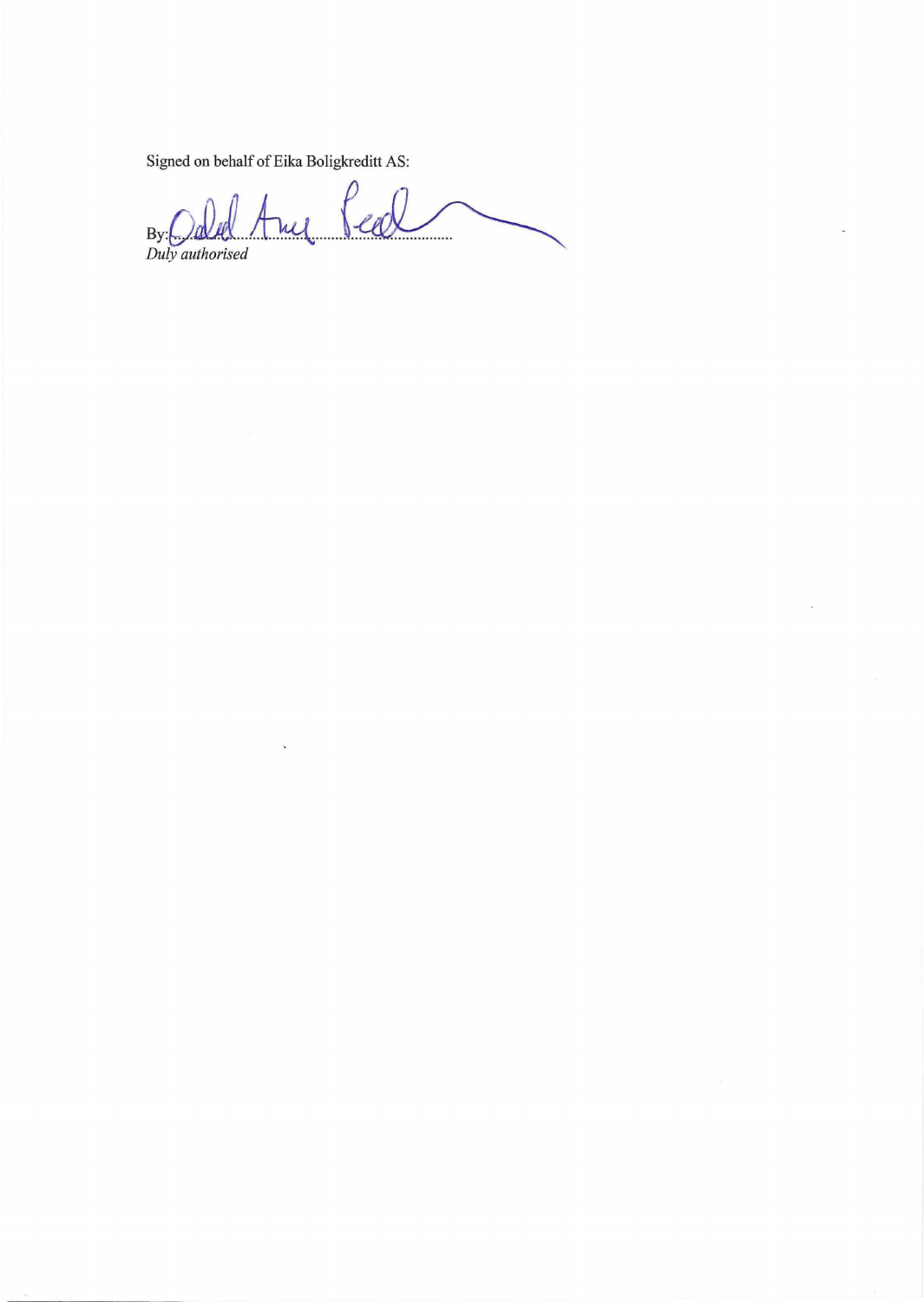Signed on behalf of Eika Boligkreditt AS:

By: Oaled Any <u>feel</u>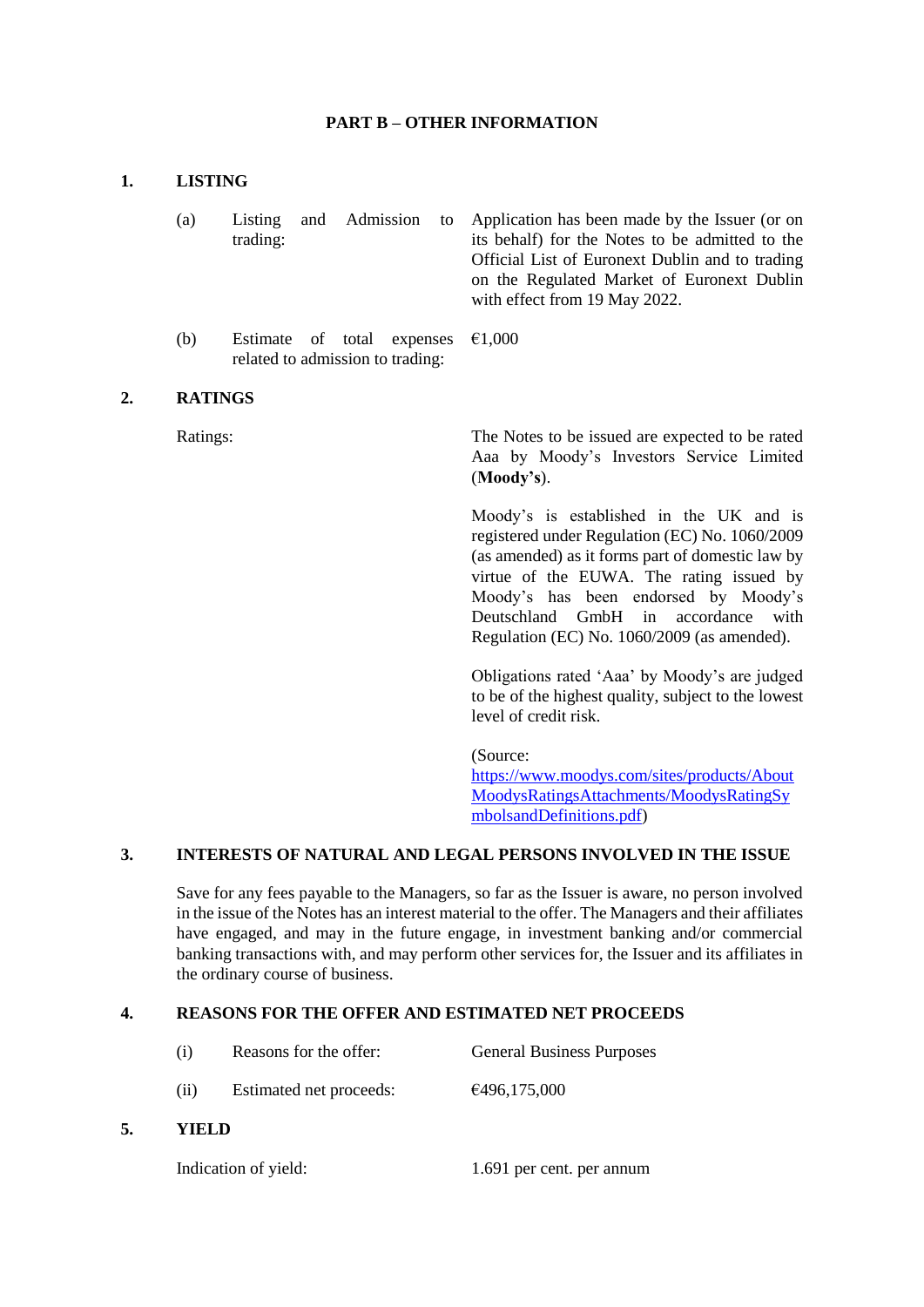#### **PART B – OTHER INFORMATION**

## **1. LISTING**

(a) Listing and Admission to trading: Application has been made by the Issuer (or on its behalf) for the Notes to be admitted to the Official List of Euronext Dublin and to trading on the Regulated Market of Euronext Dublin

with effect from 19 May 2022.

(b) Estimate of total expenses  $\epsilon$ 1,000 related to admission to trading:

#### **2. RATINGS**

Ratings: The Notes to be issued are expected to be rated Aaa by Moody's Investors Service Limited (**Moody's**).

> Moody's is established in the UK and is registered under Regulation (EC) No. 1060/2009 (as amended) as it forms part of domestic law by virtue of the EUWA. The rating issued by Moody's has been endorsed by Moody's Deutschland GmbH in accordance with Regulation (EC) No. 1060/2009 (as amended).

> Obligations rated 'Aaa' by Moody's are judged to be of the highest quality, subject to the lowest level of credit risk.

(Source:

[https://www.moodys.com/sites/products/About](https://www.moodys.com/sites/products/AboutMoodysRatingsAttachments/MoodysRatingSymbolsandDefinitions.pdf) [MoodysRatingsAttachments/MoodysRatingSy](https://www.moodys.com/sites/products/AboutMoodysRatingsAttachments/MoodysRatingSymbolsandDefinitions.pdf) [mbolsandDefinitions.pdf\)](https://www.moodys.com/sites/products/AboutMoodysRatingsAttachments/MoodysRatingSymbolsandDefinitions.pdf)

#### **3. INTERESTS OF NATURAL AND LEGAL PERSONS INVOLVED IN THE ISSUE**

Save for any fees payable to the Managers, so far as the Issuer is aware, no person involved in the issue of the Notes has an interest material to the offer. The Managers and their affiliates have engaged, and may in the future engage, in investment banking and/or commercial banking transactions with, and may perform other services for, the Issuer and its affiliates in the ordinary course of business.

## **4. REASONS FOR THE OFFER AND ESTIMATED NET PROCEEDS**

| (i)          | Reasons for the offer:  | <b>General Business Purposes</b> |
|--------------|-------------------------|----------------------------------|
| (i)          | Estimated net proceeds: | €496,175,000                     |
| <b>YIELD</b> |                         |                                  |

**5. YIELD** 

Indication of yield: 1.691 per cent. per annum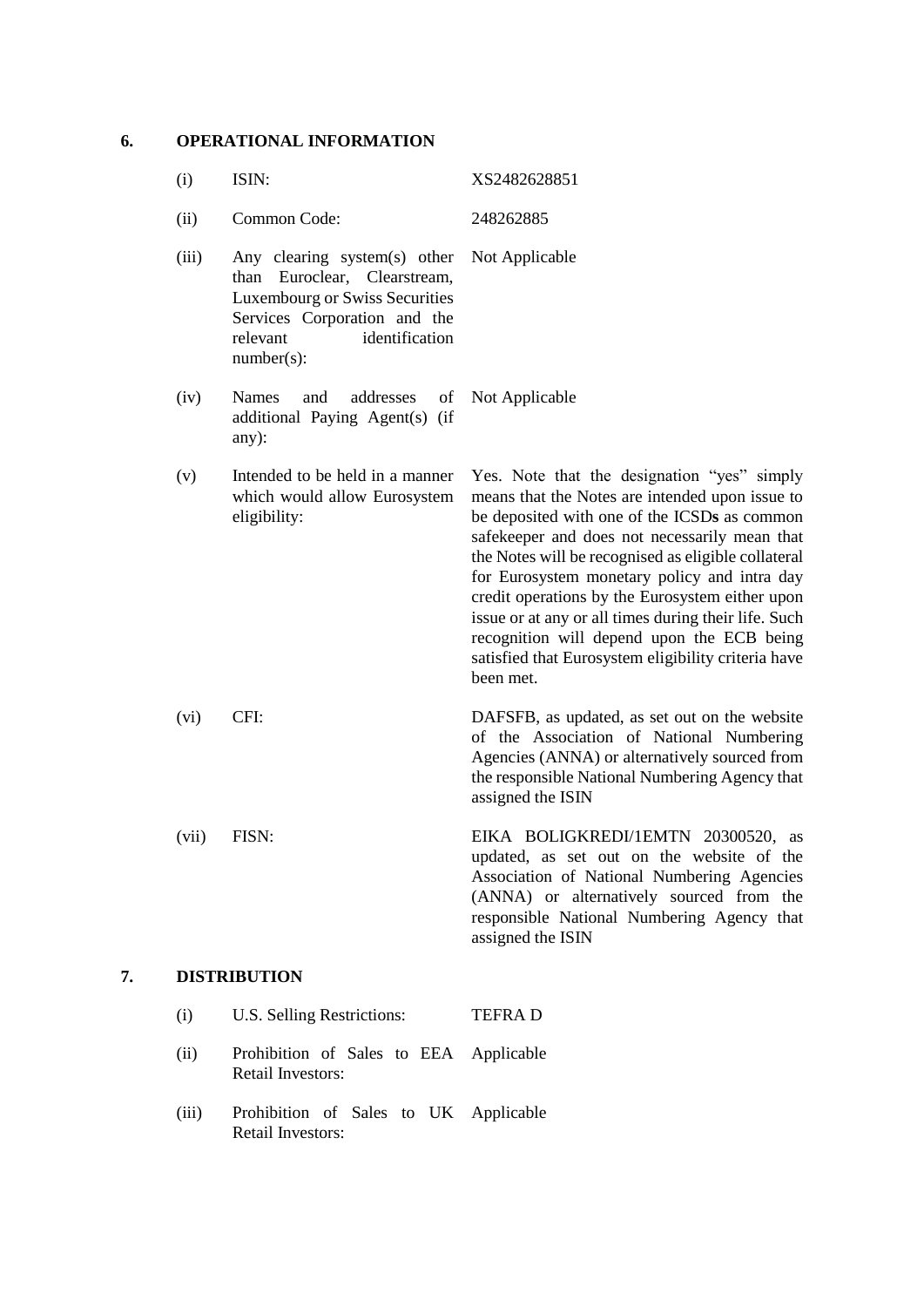## **6. OPERATIONAL INFORMATION**

|    | (i)   | ISIN:                                                                                                                                                                         | XS2482628851                                                                                                                                                                                                                                                                                                                                                                                                                                                                                                                        |
|----|-------|-------------------------------------------------------------------------------------------------------------------------------------------------------------------------------|-------------------------------------------------------------------------------------------------------------------------------------------------------------------------------------------------------------------------------------------------------------------------------------------------------------------------------------------------------------------------------------------------------------------------------------------------------------------------------------------------------------------------------------|
|    | (ii)  | Common Code:                                                                                                                                                                  | 248262885                                                                                                                                                                                                                                                                                                                                                                                                                                                                                                                           |
|    | (iii) | Any clearing system(s) other<br>than Euroclear, Clearstream,<br>Luxembourg or Swiss Securities<br>Services Corporation and the<br>identification<br>relevant<br>$number(s)$ : | Not Applicable                                                                                                                                                                                                                                                                                                                                                                                                                                                                                                                      |
|    | (iv)  | <b>Names</b><br>addresses<br>and<br>of<br>additional Paying Agent(s)<br>(i f)<br>any):                                                                                        | Not Applicable                                                                                                                                                                                                                                                                                                                                                                                                                                                                                                                      |
|    | (v)   | Intended to be held in a manner<br>which would allow Eurosystem<br>eligibility:                                                                                               | Yes. Note that the designation "yes" simply<br>means that the Notes are intended upon issue to<br>be deposited with one of the ICSDs as common<br>safekeeper and does not necessarily mean that<br>the Notes will be recognised as eligible collateral<br>for Eurosystem monetary policy and intra day<br>credit operations by the Eurosystem either upon<br>issue or at any or all times during their life. Such<br>recognition will depend upon the ECB being<br>satisfied that Eurosystem eligibility criteria have<br>been met. |
|    | (vi)  | CFI:                                                                                                                                                                          | DAFSFB, as updated, as set out on the website<br>of the Association of National Numbering<br>Agencies (ANNA) or alternatively sourced from<br>the responsible National Numbering Agency that<br>assigned the ISIN                                                                                                                                                                                                                                                                                                                   |
|    | (vii) | FISN:                                                                                                                                                                         | EIKA BOLIGKREDI/1EMTN 20300520, as<br>updated, as set out on the website of the<br>Association of National Numbering Agencies<br>(ANNA) or alternatively sourced from the<br>responsible National Numbering Agency that<br>assigned the ISIN                                                                                                                                                                                                                                                                                        |
| 7. |       | <b>DISTRIBUTION</b>                                                                                                                                                           |                                                                                                                                                                                                                                                                                                                                                                                                                                                                                                                                     |
|    | (i)   | U.S. Selling Restrictions:                                                                                                                                                    | <b>TEFRAD</b>                                                                                                                                                                                                                                                                                                                                                                                                                                                                                                                       |

- (ii) Prohibition of Sales to EEA Applicable Retail Investors:
- (iii) Prohibition of Sales to UK ApplicableRetail Investors: